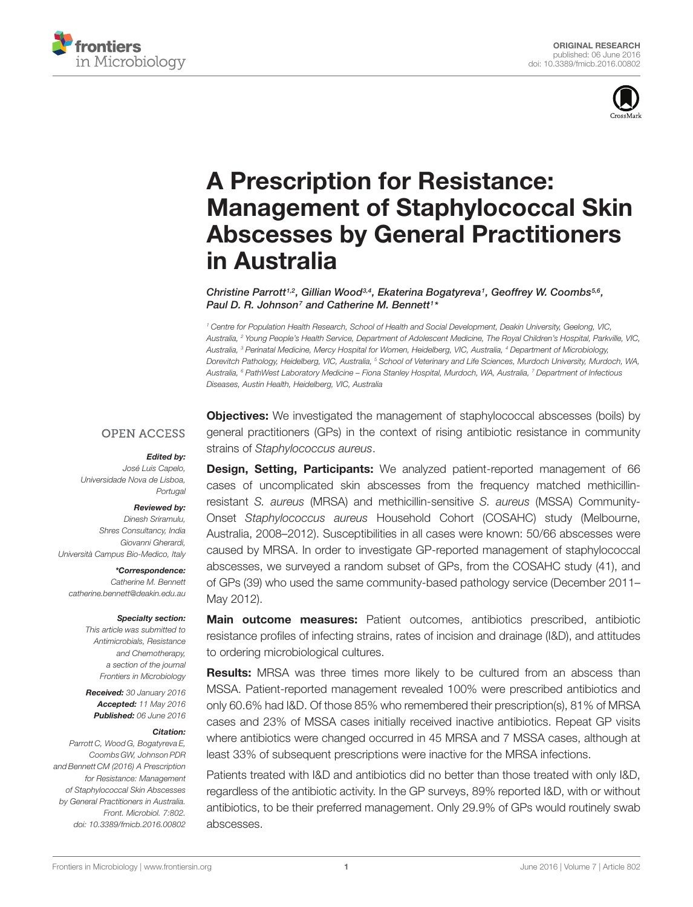



# A Prescription for Resistance: [Management of Staphylococcal Skin](http://journal.frontiersin.org/article/10.3389/fmicb.2016.00802/abstract) Abscesses by General Practitioners in Australia

Christine Parrott<sup>1,2</sup>, [Gillian Wood](http://loop.frontiersin.org/people/341096/overview)<sup>3,4</sup>, [Ekaterina Bogatyreva](http://loop.frontiersin.org/people/350921/overview)<sup>1</sup>, [Geoffrey W. Coombs](http://loop.frontiersin.org/people/317275/overview)<sup>5,6</sup>, Paul D. R. Johnson<sup>7</sup> and [Catherine M. Bennett](http://loop.frontiersin.org/people/288848/overview)<sup>1\*</sup>

<sup>1</sup> Centre for Population Health Research, School of Health and Social Development, Deakin University, Geelong, VIC, Australia, <sup>2</sup> Young People's Health Service, Department of Adolescent Medicine, The Royal Children's Hospital, Parkville, VIC, Australia, <sup>3</sup> Perinatal Medicine, Mercy Hospital for Women, Heidelberg, VIC, Australia, <sup>4</sup> Department of Microbiology, Dorevitch Pathology, Heidelberg, VIC, Australia, <sup>5</sup> School of Veterinary and Life Sciences, Murdoch University, Murdoch, WA, Australia, <sup>6</sup> PathWest Laboratory Medicine – Fiona Stanley Hospital, Murdoch, WA, Australia, <sup>7</sup> Department of Infectious Diseases, Austin Health, Heidelberg, VIC, Australia

#### **OPEN ACCESS**

#### Edited by:

José Luis Capelo, Universidade Nova de Lisboa, **Portugal** 

#### Reviewed by:

Dinesh Sriramulu, Shres Consultancy, India Giovanni Gherardi, Università Campus Bio-Medico, Italy

> \*Correspondence: Catherine M. Bennett

catherine.bennett@deakin.edu.au

#### Specialty section:

This article was submitted to Antimicrobials, Resistance and Chemotherapy, a section of the journal Frontiers in Microbiology

Received: 30 January 2016 Accepted: 11 May 2016 Published: 06 June 2016

#### Citation:

Parrott C, Wood G, Bogatyreva E, Coombs GW, Johnson PDR and Bennett CM (2016) A Prescription for Resistance: Management of Staphylococcal Skin Abscesses by General Practitioners in Australia. Front. Microbiol. 7:802. doi: [10.3389/fmicb.2016.00802](http://dx.doi.org/10.3389/fmicb.2016.00802) **Objectives:** We investigated the management of staphylococcal abscesses (boils) by general practitioners (GPs) in the context of rising antibiotic resistance in community strains of Staphylococcus aureus.

**Design, Setting, Participants:** We analyzed patient-reported management of 66 cases of uncomplicated skin abscesses from the frequency matched methicillinresistant S. aureus (MRSA) and methicillin-sensitive S. aureus (MSSA) Community-Onset Staphylococcus aureus Household Cohort (COSAHC) study (Melbourne, Australia, 2008–2012). Susceptibilities in all cases were known: 50/66 abscesses were caused by MRSA. In order to investigate GP-reported management of staphylococcal abscesses, we surveyed a random subset of GPs, from the COSAHC study (41), and of GPs (39) who used the same community-based pathology service (December 2011– May 2012).

Main outcome measures: Patient outcomes, antibiotics prescribed, antibiotic resistance profiles of infecting strains, rates of incision and drainage (I&D), and attitudes to ordering microbiological cultures.

**Results:** MRSA was three times more likely to be cultured from an abscess than MSSA. Patient-reported management revealed 100% were prescribed antibiotics and only 60.6% had I&D. Of those 85% who remembered their prescription(s), 81% of MRSA cases and 23% of MSSA cases initially received inactive antibiotics. Repeat GP visits where antibiotics were changed occurred in 45 MRSA and 7 MSSA cases, although at least 33% of subsequent prescriptions were inactive for the MRSA infections.

Patients treated with I&D and antibiotics did no better than those treated with only I&D, regardless of the antibiotic activity. In the GP surveys, 89% reported I&D, with or without antibiotics, to be their preferred management. Only 29.9% of GPs would routinely swab abscesses.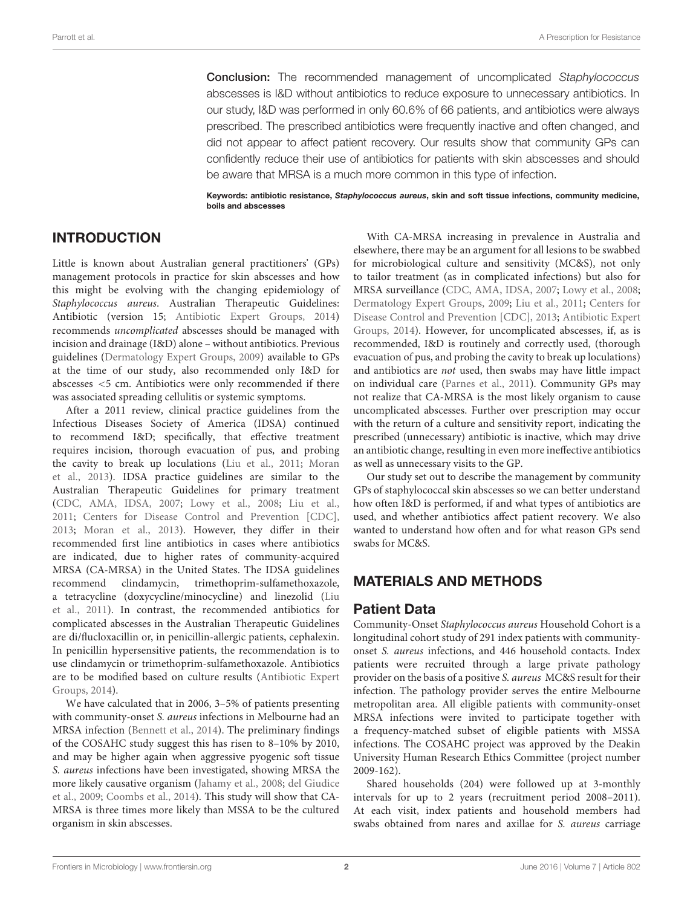Conclusion: The recommended management of uncomplicated Staphylococcus abscesses is I&D without antibiotics to reduce exposure to unnecessary antibiotics. In our study, I&D was performed in only 60.6% of 66 patients, and antibiotics were always prescribed. The prescribed antibiotics were frequently inactive and often changed, and did not appear to affect patient recovery. Our results show that community GPs can confidently reduce their use of antibiotics for patients with skin abscesses and should be aware that MRSA is a much more common in this type of infection.

Keywords: antibiotic resistance, Staphylococcus aureus, skin and soft tissue infections, community medicine, boils and abscesses

### INTRODUCTION

Little is known about Australian general practitioners' (GPs) management protocols in practice for skin abscesses and how this might be evolving with the changing epidemiology of Staphylococcus aureus. Australian Therapeutic Guidelines: Antibiotic (version 15; [Antibiotic Expert Groups, 2014\)](#page-6-0) recommends uncomplicated abscesses should be managed with incision and drainage (I&D) alone – without antibiotics. Previous guidelines [\(Dermatology Expert Groups, 2009\)](#page-7-0) available to GPs at the time of our study, also recommended only I&D for abscesses <5 cm. Antibiotics were only recommended if there was associated spreading cellulitis or systemic symptoms.

After a 2011 review, clinical practice guidelines from the Infectious Diseases Society of America (IDSA) continued to recommend I&D; specifically, that effective treatment requires incision, thorough evacuation of pus, and probing the cavity to break up loculations [\(Liu et al., 2011;](#page-7-1) [Moran](#page-7-2) [et al., 2013\)](#page-7-2). IDSA practice guidelines are similar to the Australian Therapeutic Guidelines for primary treatment [\(CDC, AMA, IDSA, 2007;](#page-6-1) [Lowy et al., 2008;](#page-7-3) [Liu et al.,](#page-7-1) [2011;](#page-7-1) [Centers for Disease Control and Prevention \[CDC\],](#page-7-4) [2013;](#page-7-4) [Moran et al., 2013\)](#page-7-2). However, they differ in their recommended first line antibiotics in cases where antibiotics are indicated, due to higher rates of community-acquired MRSA (CA-MRSA) in the United States. The IDSA guidelines recommend clindamycin, trimethoprim-sulfamethoxazole, a tetracycline (doxycycline/minocycline) and linezolid [\(Liu](#page-7-1) [et al., 2011\)](#page-7-1). In contrast, the recommended antibiotics for complicated abscesses in the Australian Therapeutic Guidelines are di/flucloxacillin or, in penicillin-allergic patients, cephalexin. In penicillin hypersensitive patients, the recommendation is to use clindamycin or trimethoprim-sulfamethoxazole. Antibiotics are to be modified based on culture results [\(Antibiotic Expert](#page-6-0) [Groups, 2014\)](#page-6-0).

We have calculated that in 2006, 3–5% of patients presenting with community-onset S. aureus infections in Melbourne had an MRSA infection [\(Bennett et al., 2014\)](#page-6-2). The preliminary findings of the COSAHC study suggest this has risen to 8–10% by 2010, and may be higher again when aggressive pyogenic soft tissue S. aureus infections have been investigated, showing MRSA the more likely causative organism [\(Jahamy et al., 2008;](#page-7-5) [del Giudice](#page-7-6) [et al., 2009;](#page-7-6) [Coombs et al., 2014\)](#page-7-7). This study will show that CA-MRSA is three times more likely than MSSA to be the cultured organism in skin abscesses.

With CA-MRSA increasing in prevalence in Australia and elsewhere, there may be an argument for all lesions to be swabbed for microbiological culture and sensitivity (MC&S), not only to tailor treatment (as in complicated infections) but also for MRSA surveillance [\(CDC, AMA, IDSA, 2007;](#page-6-1) [Lowy et al., 2008;](#page-7-3) [Dermatology Expert Groups, 2009;](#page-7-0) [Liu et al., 2011;](#page-7-1) [Centers for](#page-7-4) [Disease Control and Prevention \[CDC\], 2013;](#page-7-4) [Antibiotic Expert](#page-6-0) [Groups, 2014\)](#page-6-0). However, for uncomplicated abscesses, if, as is recommended, I&D is routinely and correctly used, (thorough evacuation of pus, and probing the cavity to break up loculations) and antibiotics are not used, then swabs may have little impact on individual care [\(Parnes et al., 2011\)](#page-7-8). Community GPs may not realize that CA-MRSA is the most likely organism to cause uncomplicated abscesses. Further over prescription may occur with the return of a culture and sensitivity report, indicating the prescribed (unnecessary) antibiotic is inactive, which may drive an antibiotic change, resulting in even more ineffective antibiotics as well as unnecessary visits to the GP.

Our study set out to describe the management by community GPs of staphylococcal skin abscesses so we can better understand how often I&D is performed, if and what types of antibiotics are used, and whether antibiotics affect patient recovery. We also wanted to understand how often and for what reason GPs send swabs for MC&S.

### MATERIALS AND METHODS

#### Patient Data

Community-Onset Staphylococcus aureus Household Cohort is a longitudinal cohort study of 291 index patients with communityonset S. aureus infections, and 446 household contacts. Index patients were recruited through a large private pathology provider on the basis of a positive S. aureus MC&S result for their infection. The pathology provider serves the entire Melbourne metropolitan area. All eligible patients with community-onset MRSA infections were invited to participate together with a frequency-matched subset of eligible patients with MSSA infections. The COSAHC project was approved by the Deakin University Human Research Ethics Committee (project number 2009-162).

Shared households (204) were followed up at 3-monthly intervals for up to 2 years (recruitment period 2008–2011). At each visit, index patients and household members had swabs obtained from nares and axillae for S. aureus carriage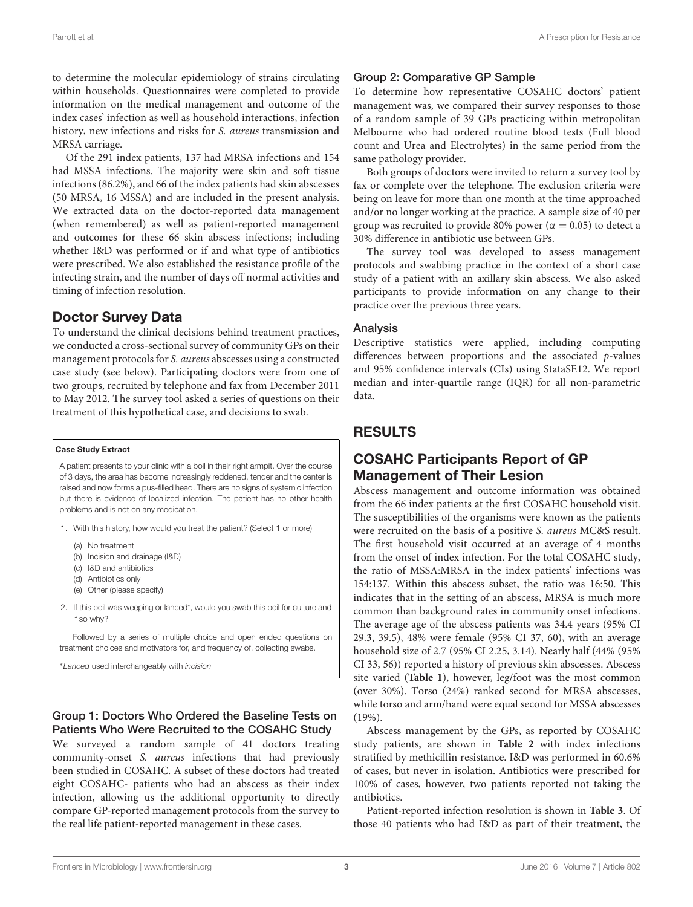to determine the molecular epidemiology of strains circulating within households. Questionnaires were completed to provide information on the medical management and outcome of the index cases' infection as well as household interactions, infection history, new infections and risks for S. aureus transmission and MRSA carriage.

Of the 291 index patients, 137 had MRSA infections and 154 had MSSA infections. The majority were skin and soft tissue infections (86.2%), and 66 of the index patients had skin abscesses (50 MRSA, 16 MSSA) and are included in the present analysis. We extracted data on the doctor-reported data management (when remembered) as well as patient-reported management and outcomes for these 66 skin abscess infections; including whether I&D was performed or if and what type of antibiotics were prescribed. We also established the resistance profile of the infecting strain, and the number of days off normal activities and timing of infection resolution.

### Doctor Survey Data

To understand the clinical decisions behind treatment practices, we conducted a cross-sectional survey of community GPs on their management protocols for S. aureus abscesses using a constructed case study (see below). Participating doctors were from one of two groups, recruited by telephone and fax from December 2011 to May 2012. The survey tool asked a series of questions on their treatment of this hypothetical case, and decisions to swab.

#### Case Study Extract

A patient presents to your clinic with a boil in their right armpit. Over the course of 3 days, the area has become increasingly reddened, tender and the center is raised and now forms a pus-filled head. There are no signs of systemic infection but there is evidence of localized infection. The patient has no other health problems and is not on any medication.

- 1. With this history, how would you treat the patient? (Select 1 or more)
	- (a) No treatment
	- (b) Incision and drainage (I&D)
	- (c) I&D and antibiotics
	- (d) Antibiotics only
	- (e) Other (please specify)
- 2. If this boil was weeping or lanced\*, would you swab this boil for culture and if so why?

Followed by a series of multiple choice and open ended questions on treatment choices and motivators for, and frequency of, collecting swabs.

<sup>∗</sup>Lanced used interchangeably with incision

#### Group 1: Doctors Who Ordered the Baseline Tests on Patients Who Were Recruited to the COSAHC Study

We surveyed a random sample of 41 doctors treating community-onset S. aureus infections that had previously been studied in COSAHC. A subset of these doctors had treated eight COSAHC- patients who had an abscess as their index infection, allowing us the additional opportunity to directly compare GP-reported management protocols from the survey to the real life patient-reported management in these cases.

#### Group 2: Comparative GP Sample

To determine how representative COSAHC doctors' patient management was, we compared their survey responses to those of a random sample of 39 GPs practicing within metropolitan Melbourne who had ordered routine blood tests (Full blood count and Urea and Electrolytes) in the same period from the same pathology provider.

Both groups of doctors were invited to return a survey tool by fax or complete over the telephone. The exclusion criteria were being on leave for more than one month at the time approached and/or no longer working at the practice. A sample size of 40 per group was recruited to provide 80% power ( $\alpha = 0.05$ ) to detect a 30% difference in antibiotic use between GPs.

The survey tool was developed to assess management protocols and swabbing practice in the context of a short case study of a patient with an axillary skin abscess. We also asked participants to provide information on any change to their practice over the previous three years.

#### Analysis

Descriptive statistics were applied, including computing differences between proportions and the associated p-values and 95% confidence intervals (CIs) using StataSE12. We report median and inter-quartile range (IQR) for all non-parametric data.

# RESULTS

## COSAHC Participants Report of GP Management of Their Lesion

Abscess management and outcome information was obtained from the 66 index patients at the first COSAHC household visit. The susceptibilities of the organisms were known as the patients were recruited on the basis of a positive S. aureus MC&S result. The first household visit occurred at an average of 4 months from the onset of index infection. For the total COSAHC study, the ratio of MSSA:MRSA in the index patients' infections was 154:137. Within this abscess subset, the ratio was 16:50. This indicates that in the setting of an abscess, MRSA is much more common than background rates in community onset infections. The average age of the abscess patients was 34.4 years (95% CI 29.3, 39.5), 48% were female (95% CI 37, 60), with an average household size of 2.7 (95% CI 2.25, 3.14). Nearly half (44% (95% CI 33, 56)) reported a history of previous skin abscesses. Abscess site varied (**[Table 1](#page-3-0)**), however, leg/foot was the most common (over 30%). Torso (24%) ranked second for MRSA abscesses, while torso and arm/hand were equal second for MSSA abscesses (19%).

Abscess management by the GPs, as reported by COSAHC study patients, are shown in **[Table 2](#page-3-1)** with index infections stratified by methicillin resistance. I&D was performed in 60.6% of cases, but never in isolation. Antibiotics were prescribed for 100% of cases, however, two patients reported not taking the antibiotics.

Patient-reported infection resolution is shown in **[Table 3](#page-3-2)**. Of those 40 patients who had I&D as part of their treatment, the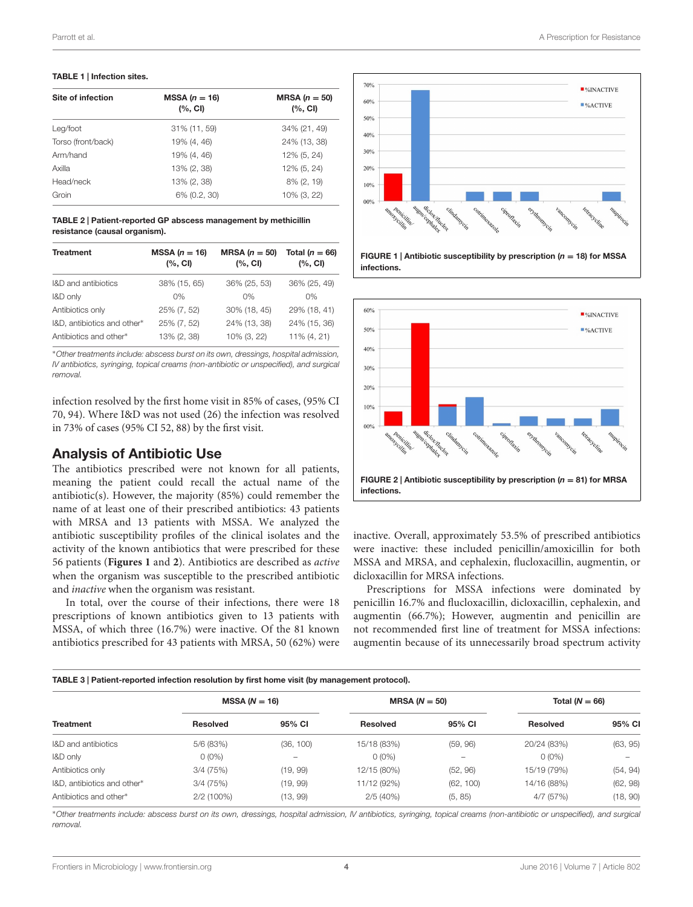#### <span id="page-3-0"></span>TABLE 1 | Infection sites.

| Site of infection  | MSSA $(n = 16)$<br>(%, <b>CI</b> ) | MRSA $(n = 50)$<br>$(%$ , CI) |
|--------------------|------------------------------------|-------------------------------|
| Leg/foot           | 31% (11, 59)                       | 34% (21, 49)                  |
| Torso (front/back) | 19% (4, 46)                        | 24% (13, 38)                  |
| Arm/hand           | 19% (4, 46)                        | 12% (5, 24)                   |
| Axilla             | 13% (2, 38)                        | 12% (5, 24)                   |
| Head/neck          | 13% (2, 38)                        | 8% (2, 19)                    |
| Groin              | 6% (0.2, 30)                       | 10% (3, 22)                   |
|                    |                                    |                               |

<span id="page-3-1"></span>TABLE 2 | Patient-reported GP abscess management by methicillin resistance (causal organism).

| <b>Treatment</b>            | MSSA $(n = 16)$<br>$(%$ , CI) | MRSA $(n = 50)$<br>(%, <b>CI</b> ) | Total ( $n = 66$ )<br>(%, <b>CI</b> ) |
|-----------------------------|-------------------------------|------------------------------------|---------------------------------------|
| I&D and antibiotics         | 38% (15, 65)                  | 36% (25, 53)                       | 36% (25, 49)                          |
| I&D only                    | 0%                            | $0\%$                              | 0%                                    |
| Antibiotics only            | 25% (7, 52)                   | 30% (18, 45)                       | 29% (18, 41)                          |
| I&D, antibiotics and other* | 25% (7, 52)                   | 24% (13, 38)                       | 24% (15, 36)                          |
| Antibiotics and other*      | 13% (2, 38)                   | 10% (3, 22)                        | 11% (4, 21)                           |

<sup>∗</sup>Other treatments include: abscess burst on its own, dressings, hospital admission, IV antibiotics, syringing, topical creams (non-antibiotic or unspecified), and surgical removal.

infection resolved by the first home visit in 85% of cases, (95% CI 70, 94). Where I&D was not used (26) the infection was resolved in 73% of cases (95% CI 52, 88) by the first visit.

#### Analysis of Antibiotic Use

The antibiotics prescribed were not known for all patients, meaning the patient could recall the actual name of the antibiotic(s). However, the majority (85%) could remember the name of at least one of their prescribed antibiotics: 43 patients with MRSA and 13 patients with MSSA. We analyzed the antibiotic susceptibility profiles of the clinical isolates and the activity of the known antibiotics that were prescribed for these 56 patients (**[Figures 1](#page-3-3)** and **[2](#page-3-4)**). Antibiotics are described as active when the organism was susceptible to the prescribed antibiotic and inactive when the organism was resistant.

In total, over the course of their infections, there were 18 prescriptions of known antibiotics given to 13 patients with MSSA, of which three (16.7%) were inactive. Of the 81 known antibiotics prescribed for 43 patients with MRSA, 50 (62%) were



<span id="page-3-3"></span>



<span id="page-3-4"></span>inactive. Overall, approximately 53.5% of prescribed antibiotics were inactive: these included penicillin/amoxicillin for both MSSA and MRSA, and cephalexin, flucloxacillin, augmentin, or dicloxacillin for MRSA infections.

Prescriptions for MSSA infections were dominated by penicillin 16.7% and flucloxacillin, dicloxacillin, cephalexin, and augmentin (66.7%); However, augmentin and penicillin are not recommended first line of treatment for MSSA infections: augmentin because of its unnecessarily broad spectrum activity

#### <span id="page-3-2"></span>TABLE 3 | Patient-reported infection resolution by first home visit (by management protocol).

|                             | $MSSA (N = 16)$ |                          | MRSA ( $N = 50$ ) |                 | Total ( $N = 66$ ) |          |
|-----------------------------|-----------------|--------------------------|-------------------|-----------------|--------------------|----------|
| <b>Treatment</b>            | <b>Resolved</b> | 95% CI                   | <b>Resolved</b>   | 95% CI          | <b>Resolved</b>    | 95% CI   |
| I&D and antibiotics         | 5/6 (83%)       | (36, 100)                | 15/18 (83%)       | (59, 96)        | 20/24 (83%)        | (63, 95) |
| I&D only                    | $0(0\%)$        | $\overline{\phantom{a}}$ | $0(0\%)$          | $\qquad \qquad$ | $0(0\%)$           |          |
| Antibiotics only            | 3/4(75%)        | (19, 99)                 | 12/15 (80%)       | (52, 96)        | 15/19 (79%)        | (54, 94) |
| I&D, antibiotics and other* | 3/4(75%)        | (19, 99)                 | 11/12 (92%)       | (62, 100)       | 14/16 (88%)        | (62, 98) |
| Antibiotics and other*      | $2/2(100\%)$    | (13, 99)                 | 2/5(40%)          | (5, 85)         | 4/7 (57%)          | (18, 90) |

<sup>∗</sup>Other treatments include: abscess burst on its own, dressings, hospital admission, IV antibiotics, syringing, topical creams (non-antibiotic or unspecified), and surgical removal.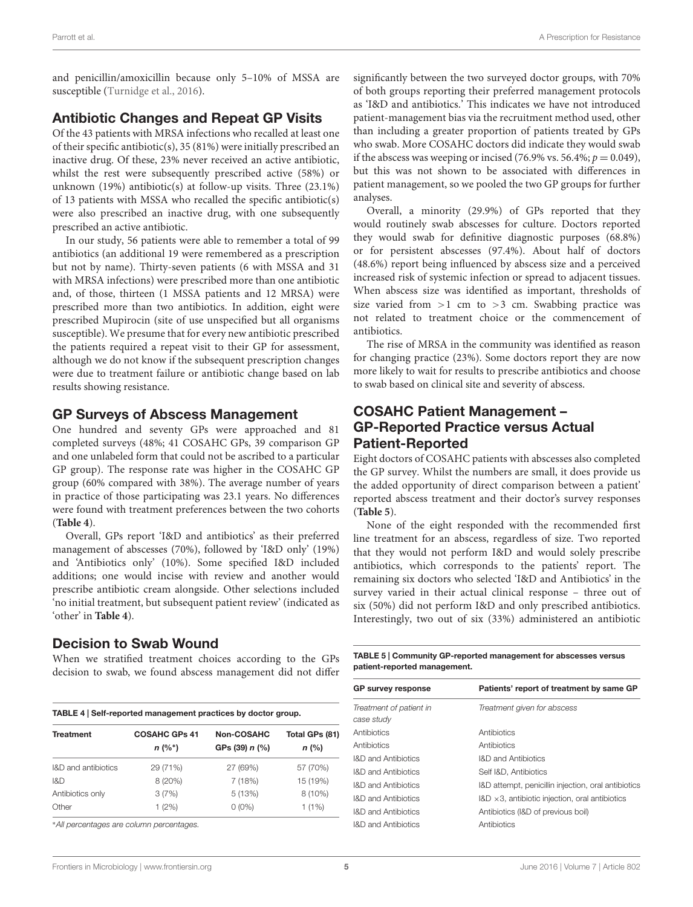and penicillin/amoxicillin because only 5–10% of MSSA are susceptible [\(Turnidge et al.,](#page-7-9) [2016\)](#page-7-9).

# Antibiotic Changes and Repeat GP Visits

Of the 43 patients with MRSA infections who recalled at least one of their specific antibiotic(s), 35 (81%) were initially prescribed an inactive drug. Of these, 23% never received an active antibiotic, whilst the rest were subsequently prescribed active (58%) or unknown (19%) antibiotic(s) at follow-up visits. Three (23.1%) of 13 patients with MSSA who recalled the specific antibiotic(s) were also prescribed an inactive drug, with one subsequently prescribed an active antibiotic.

In our study, 56 patients were able to remember a total of 99 antibiotics (an additional 19 were remembered as a prescription but not by name). Thirty-seven patients (6 with MSSA and 31 with MRSA infections) were prescribed more than one antibiotic and, of those, thirteen (1 MSSA patients and 12 MRSA) were prescribed more than two antibiotics. In addition, eight were prescribed Mupirocin (site of use unspecified but all organisms susceptible). We presume that for every new antibiotic prescribed the patients required a repeat visit to their GP for assessment, although we do not know if the subsequent prescription changes were due to treatment failure or antibiotic change based on lab results showing resistance.

#### GP Surveys of Abscess Management

One hundred and seventy GPs were approached and 81 completed surveys (48%; 41 COSAHC GPs, 39 comparison GP and one unlabeled form that could not be ascribed to a particular GP group). The response rate was higher in the COSAHC GP group (60% compared with 38%). The average number of years in practice of those participating was 23.1 years. No differences were found with treatment preferences between the two cohorts (**[Table 4](#page-4-0)**).

Overall, GPs report 'I&D and antibiotics' as their preferred management of abscesses (70%), followed by 'I&D only' (19%) and 'Antibiotics only' (10%). Some specified I&D included additions; one would incise with review and another would prescribe antibiotic cream alongside. Other selections included 'no initial treatment, but subsequent patient review' (indicated as 'other' in **[Table 4](#page-4-0)**).

# Decision to Swab Wound

When we stratified treatment choices according to the GPs decision to swab, we found abscess management did not differ

<span id="page-4-0"></span>

| TABLE 4   Self-reported management practices by doctor group. |                                  |                                |                           |
|---------------------------------------------------------------|----------------------------------|--------------------------------|---------------------------|
| <b>Treatment</b>                                              | <b>COSAHC GPs 41</b><br>$n(%^*)$ | Non-COSAHC<br>GPs (39) $n$ (%) | Total GPs (81)<br>$n$ (%) |
| I&D and antibiotics                                           | 29 (71%)                         | 27 (69%)                       | 57 (70%)                  |
| R <sub>D</sub>                                                | 8(20%)                           | 7 (18%)                        | 15 (19%)                  |
| Antibiotics only                                              | 3(7%)                            | 5(13%)                         | $8(10\%)$                 |
| Other                                                         | 1(2%)                            | $0(0\%)$                       | $1(1\%)$                  |

<sup>∗</sup>All percentages are column percentages.

significantly between the two surveyed doctor groups, with 70% of both groups reporting their preferred management protocols as 'I&D and antibiotics.' This indicates we have not introduced patient-management bias via the recruitment method used, other than including a greater proportion of patients treated by GPs who swab. More COSAHC doctors did indicate they would swab if the abscess was weeping or incised (76.9% vs. 56.4%;  $p = 0.049$ ), but this was not shown to be associated with differences in patient management, so we pooled the two GP groups for further analyses.

Overall, a minority (29.9%) of GPs reported that they would routinely swab abscesses for culture. Doctors reported they would swab for definitive diagnostic purposes (68.8%) or for persistent abscesses (97.4%). About half of doctors (48.6%) report being influenced by abscess size and a perceived increased risk of systemic infection or spread to adjacent tissues. When abscess size was identified as important, thresholds of size varied from  $>1$  cm to  $>3$  cm. Swabbing practice was not related to treatment choice or the commencement of antibiotics.

The rise of MRSA in the community was identified as reason for changing practice (23%). Some doctors report they are now more likely to wait for results to prescribe antibiotics and choose to swab based on clinical site and severity of abscess.

# COSAHC Patient Management – GP-Reported Practice versus Actual Patient-Reported

Eight doctors of COSAHC patients with abscesses also completed the GP survey. Whilst the numbers are small, it does provide us the added opportunity of direct comparison between a patient' reported abscess treatment and their doctor's survey responses (**[Table 5](#page-4-1)**).

None of the eight responded with the recommended first line treatment for an abscess, regardless of size. Two reported that they would not perform I&D and would solely prescribe antibiotics, which corresponds to the patients' report. The remaining six doctors who selected 'I&D and Antibiotics' in the survey varied in their actual clinical response – three out of six (50%) did not perform I&D and only prescribed antibiotics. Interestingly, two out of six (33%) administered an antibiotic

<span id="page-4-1"></span>TABLE 5 | Community GP-reported management for abscesses versus patient-reported management.

| <b>GP survey response</b>             | Patients' report of treatment by same GP                |
|---------------------------------------|---------------------------------------------------------|
| Treatment of patient in<br>case study | Treatment given for abscess                             |
| Antibiotics                           | Antibiotics                                             |
| Antibiotics                           | Antibiotics                                             |
| <b>I&amp;D</b> and Antibiotics        | <b>I&amp;D and Antibiotics</b>                          |
| <b>I&amp;D</b> and Antibiotics        | Self I&D. Antibiotics                                   |
| <b>I&amp;D</b> and Antibiotics        | I&D attempt, penicillin injection, oral antibiotics     |
| <b>I&amp;D</b> and Antibiotics        | $18D \times 3$ , antibiotic injection, oral antibiotics |
| <b>I&amp;D</b> and Antibiotics        | Antibiotics (I&D of previous boil)                      |
| <b>I&amp;D</b> and Antibiotics        | Antibiotics                                             |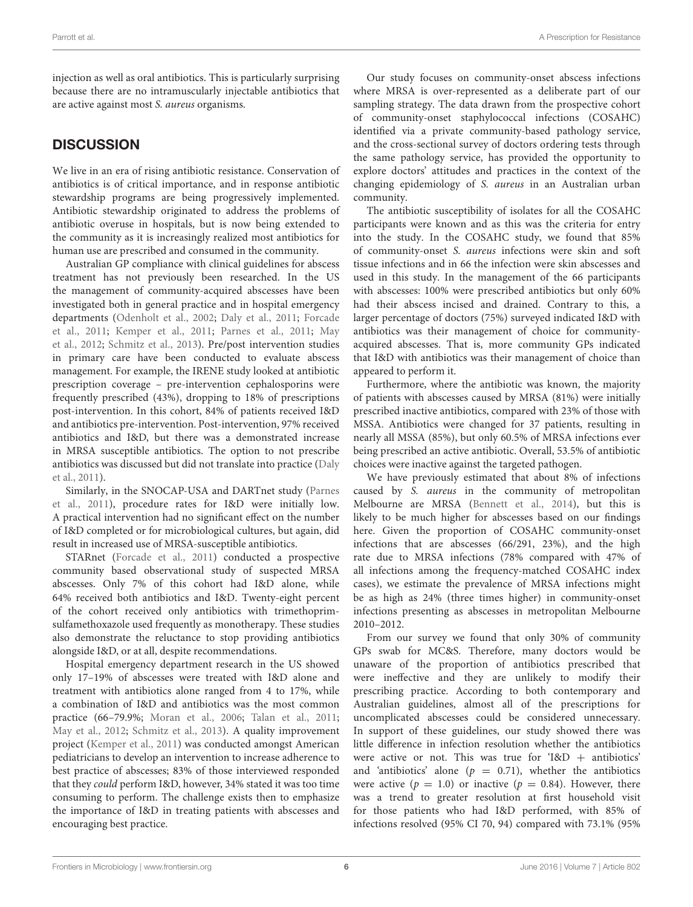injection as well as oral antibiotics. This is particularly surprising because there are no intramuscularly injectable antibiotics that are active against most S. aureus organisms.

# **DISCUSSION**

We live in an era of rising antibiotic resistance. Conservation of antibiotics is of critical importance, and in response antibiotic stewardship programs are being progressively implemented. Antibiotic stewardship originated to address the problems of antibiotic overuse in hospitals, but is now being extended to the community as it is increasingly realized most antibiotics for human use are prescribed and consumed in the community.

Australian GP compliance with clinical guidelines for abscess treatment has not previously been researched. In the US the management of community-acquired abscesses have been investigated both in general practice and in hospital emergency departments [\(Odenholt et al.,](#page-7-10) [2002;](#page-7-10) [Daly et al.,](#page-7-11) [2011;](#page-7-11) [Forcade](#page-7-12) [et al.,](#page-7-12) [2011;](#page-7-12) [Kemper et al.,](#page-7-13) [2011;](#page-7-13) [Parnes et al.,](#page-7-8) [2011;](#page-7-8) [May](#page-7-14) [et al.,](#page-7-14) [2012;](#page-7-14) [Schmitz et al.,](#page-7-15) [2013\)](#page-7-15). Pre/post intervention studies in primary care have been conducted to evaluate abscess management. For example, the IRENE study looked at antibiotic prescription coverage – pre-intervention cephalosporins were frequently prescribed (43%), dropping to 18% of prescriptions post-intervention. In this cohort, 84% of patients received I&D and antibiotics pre-intervention. Post-intervention, 97% received antibiotics and I&D, but there was a demonstrated increase in MRSA susceptible antibiotics. The option to not prescribe antibiotics was discussed but did not translate into practice [\(Daly](#page-7-11) [et al.,](#page-7-11) [2011\)](#page-7-11).

Similarly, in the SNOCAP-USA and DARTnet study [\(Parnes](#page-7-8) [et al.,](#page-7-8) [2011\)](#page-7-8), procedure rates for I&D were initially low. A practical intervention had no significant effect on the number of I&D completed or for microbiological cultures, but again, did result in increased use of MRSA-susceptible antibiotics.

STARnet [\(Forcade et al.,](#page-7-12) [2011\)](#page-7-12) conducted a prospective community based observational study of suspected MRSA abscesses. Only 7% of this cohort had I&D alone, while 64% received both antibiotics and I&D. Twenty-eight percent of the cohort received only antibiotics with trimethoprimsulfamethoxazole used frequently as monotherapy. These studies also demonstrate the reluctance to stop providing antibiotics alongside I&D, or at all, despite recommendations.

Hospital emergency department research in the US showed only 17–19% of abscesses were treated with I&D alone and treatment with antibiotics alone ranged from 4 to 17%, while a combination of I&D and antibiotics was the most common practice (66–79.9%; [Moran et al.,](#page-7-16) [2006;](#page-7-16) [Talan et al.,](#page-7-17) [2011;](#page-7-17) [May et al.,](#page-7-14) [2012;](#page-7-14) [Schmitz et al.,](#page-7-15) [2013\)](#page-7-15). A quality improvement project [\(Kemper et al.,](#page-7-13) [2011\)](#page-7-13) was conducted amongst American pediatricians to develop an intervention to increase adherence to best practice of abscesses; 83% of those interviewed responded that they could perform I&D, however, 34% stated it was too time consuming to perform. The challenge exists then to emphasize the importance of I&D in treating patients with abscesses and encouraging best practice.

Our study focuses on community-onset abscess infections where MRSA is over-represented as a deliberate part of our sampling strategy. The data drawn from the prospective cohort of community-onset staphylococcal infections (COSAHC) identified via a private community-based pathology service, and the cross-sectional survey of doctors ordering tests through the same pathology service, has provided the opportunity to explore doctors' attitudes and practices in the context of the changing epidemiology of S. aureus in an Australian urban community.

The antibiotic susceptibility of isolates for all the COSAHC participants were known and as this was the criteria for entry into the study. In the COSAHC study, we found that 85% of community-onset S. aureus infections were skin and soft tissue infections and in 66 the infection were skin abscesses and used in this study. In the management of the 66 participants with abscesses: 100% were prescribed antibiotics but only 60% had their abscess incised and drained. Contrary to this, a larger percentage of doctors (75%) surveyed indicated I&D with antibiotics was their management of choice for communityacquired abscesses. That is, more community GPs indicated that I&D with antibiotics was their management of choice than appeared to perform it.

Furthermore, where the antibiotic was known, the majority of patients with abscesses caused by MRSA (81%) were initially prescribed inactive antibiotics, compared with 23% of those with MSSA. Antibiotics were changed for 37 patients, resulting in nearly all MSSA (85%), but only 60.5% of MRSA infections ever being prescribed an active antibiotic. Overall, 53.5% of antibiotic choices were inactive against the targeted pathogen.

We have previously estimated that about 8% of infections caused by S. aureus in the community of metropolitan Melbourne are MRSA [\(Bennett et al.,](#page-6-2) [2014\)](#page-6-2), but this is likely to be much higher for abscesses based on our findings here. Given the proportion of COSAHC community-onset infections that are abscesses (66/291, 23%), and the high rate due to MRSA infections (78% compared with 47% of all infections among the frequency-matched COSAHC index cases), we estimate the prevalence of MRSA infections might be as high as 24% (three times higher) in community-onset infections presenting as abscesses in metropolitan Melbourne 2010–2012.

From our survey we found that only 30% of community GPs swab for MC&S. Therefore, many doctors would be unaware of the proportion of antibiotics prescribed that were ineffective and they are unlikely to modify their prescribing practice. According to both contemporary and Australian guidelines, almost all of the prescriptions for uncomplicated abscesses could be considered unnecessary. In support of these guidelines, our study showed there was little difference in infection resolution whether the antibiotics were active or not. This was true for 'I&D + antibiotics' and 'antibiotics' alone ( $p = 0.71$ ), whether the antibiotics were active ( $p = 1.0$ ) or inactive ( $p = 0.84$ ). However, there was a trend to greater resolution at first household visit for those patients who had I&D performed, with 85% of infections resolved (95% CI 70, 94) compared with 73.1% (95%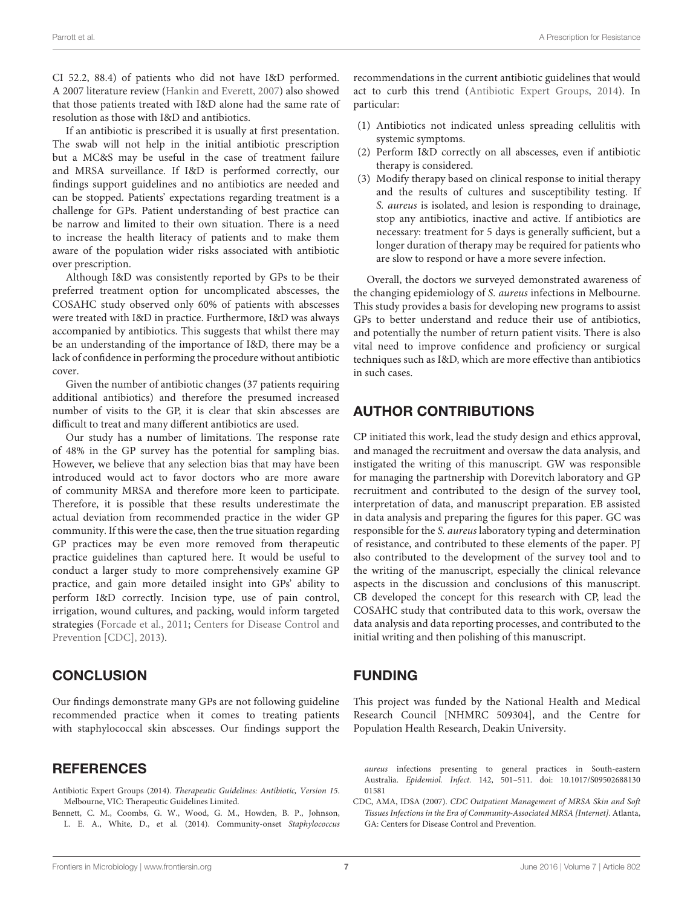CI 52.2, 88.4) of patients who did not have I&D performed. A 2007 literature review [\(Hankin and Everett,](#page-7-18) [2007\)](#page-7-18) also showed that those patients treated with I&D alone had the same rate of resolution as those with I&D and antibiotics.

If an antibiotic is prescribed it is usually at first presentation. The swab will not help in the initial antibiotic prescription but a MC&S may be useful in the case of treatment failure and MRSA surveillance. If I&D is performed correctly, our findings support guidelines and no antibiotics are needed and can be stopped. Patients' expectations regarding treatment is a challenge for GPs. Patient understanding of best practice can be narrow and limited to their own situation. There is a need to increase the health literacy of patients and to make them aware of the population wider risks associated with antibiotic over prescription.

Although I&D was consistently reported by GPs to be their preferred treatment option for uncomplicated abscesses, the COSAHC study observed only 60% of patients with abscesses were treated with I&D in practice. Furthermore, I&D was always accompanied by antibiotics. This suggests that whilst there may be an understanding of the importance of I&D, there may be a lack of confidence in performing the procedure without antibiotic cover.

Given the number of antibiotic changes (37 patients requiring additional antibiotics) and therefore the presumed increased number of visits to the GP, it is clear that skin abscesses are difficult to treat and many different antibiotics are used.

Our study has a number of limitations. The response rate of 48% in the GP survey has the potential for sampling bias. However, we believe that any selection bias that may have been introduced would act to favor doctors who are more aware of community MRSA and therefore more keen to participate. Therefore, it is possible that these results underestimate the actual deviation from recommended practice in the wider GP community. If this were the case, then the true situation regarding GP practices may be even more removed from therapeutic practice guidelines than captured here. It would be useful to conduct a larger study to more comprehensively examine GP practice, and gain more detailed insight into GPs' ability to perform I&D correctly. Incision type, use of pain control, irrigation, wound cultures, and packing, would inform targeted strategies [\(Forcade et al.,](#page-7-12) [2011;](#page-7-12) [Centers for Disease Control and](#page-7-4) [Prevention \[CDC\],](#page-7-4) [2013\)](#page-7-4).

### **CONCLUSION**

Our findings demonstrate many GPs are not following guideline recommended practice when it comes to treating patients with staphylococcal skin abscesses. Our findings support the

#### **REFERENCES**

- <span id="page-6-0"></span>Antibiotic Expert Groups (2014). Therapeutic Guidelines: Antibiotic, Version 15. Melbourne, VIC: Therapeutic Guidelines Limited.
- <span id="page-6-2"></span>Bennett, C. M., Coombs, G. W., Wood, G. M., Howden, B. P., Johnson, L. E. A., White, D., et al. (2014). Community-onset Staphylococcus

recommendations in the current antibiotic guidelines that would act to curb this trend [\(Antibiotic Expert Groups,](#page-6-0) [2014\)](#page-6-0). In particular:

- (1) Antibiotics not indicated unless spreading cellulitis with systemic symptoms.
- (2) Perform I&D correctly on all abscesses, even if antibiotic therapy is considered.
- (3) Modify therapy based on clinical response to initial therapy and the results of cultures and susceptibility testing. If S. aureus is isolated, and lesion is responding to drainage, stop any antibiotics, inactive and active. If antibiotics are necessary: treatment for 5 days is generally sufficient, but a longer duration of therapy may be required for patients who are slow to respond or have a more severe infection.

Overall, the doctors we surveyed demonstrated awareness of the changing epidemiology of S. aureus infections in Melbourne. This study provides a basis for developing new programs to assist GPs to better understand and reduce their use of antibiotics, and potentially the number of return patient visits. There is also vital need to improve confidence and proficiency or surgical techniques such as I&D, which are more effective than antibiotics in such cases.

# AUTHOR CONTRIBUTIONS

CP initiated this work, lead the study design and ethics approval, and managed the recruitment and oversaw the data analysis, and instigated the writing of this manuscript. GW was responsible for managing the partnership with Dorevitch laboratory and GP recruitment and contributed to the design of the survey tool, interpretation of data, and manuscript preparation. EB assisted in data analysis and preparing the figures for this paper. GC was responsible for the S. aureus laboratory typing and determination of resistance, and contributed to these elements of the paper. PJ also contributed to the development of the survey tool and to the writing of the manuscript, especially the clinical relevance aspects in the discussion and conclusions of this manuscript. CB developed the concept for this research with CP, lead the COSAHC study that contributed data to this work, oversaw the data analysis and data reporting processes, and contributed to the initial writing and then polishing of this manuscript.

### FUNDING

This project was funded by the National Health and Medical Research Council [NHMRC 509304], and the Centre for Population Health Research, Deakin University.

aureus infections presenting to general practices in South-eastern Australia. Epidemiol. Infect. 142, 501–511. doi: 10.1017/S09502688130 01581

<span id="page-6-1"></span>CDC, AMA, IDSA (2007). CDC Outpatient Management of MRSA Skin and Soft Tissues Infections in the Era of Community-Associated MRSA [Internet]. Atlanta, GA: Centers for Disease Control and Prevention.